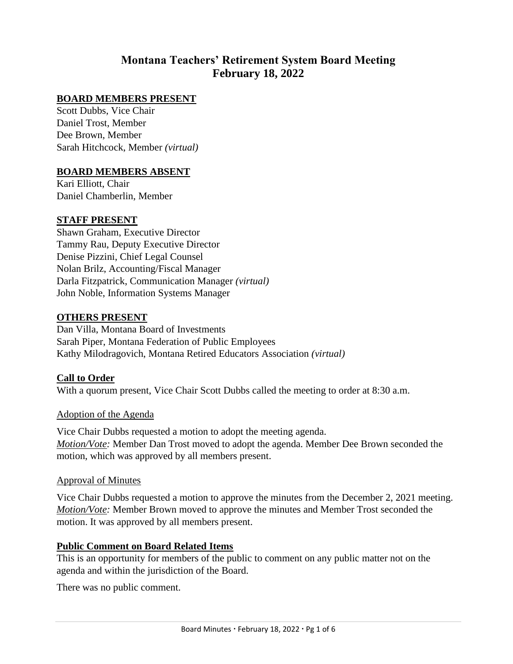# **Montana Teachers' Retirement System Board Meeting February 18, 2022**

### **BOARD MEMBERS PRESENT**

Scott Dubbs, Vice Chair Daniel Trost, Member Dee Brown, Member Sarah Hitchcock, Member *(virtual)*

#### **BOARD MEMBERS ABSENT**

Kari Elliott, Chair Daniel Chamberlin, Member

#### **STAFF PRESENT**

Shawn Graham, Executive Director Tammy Rau, Deputy Executive Director Denise Pizzini, Chief Legal Counsel Nolan Brilz, Accounting/Fiscal Manager Darla Fitzpatrick, Communication Manager *(virtual)* John Noble, Information Systems Manager

#### **OTHERS PRESENT**

Dan Villa, Montana Board of Investments Sarah Piper, Montana Federation of Public Employees Kathy Milodragovich, Montana Retired Educators Association *(virtual)*

#### **Call to Order**

With a quorum present, Vice Chair Scott Dubbs called the meeting to order at 8:30 a.m.

#### Adoption of the Agenda

Vice Chair Dubbs requested a motion to adopt the meeting agenda. *Motion/Vote:* Member Dan Trost moved to adopt the agenda. Member Dee Brown seconded the motion, which was approved by all members present.

#### Approval of Minutes

Vice Chair Dubbs requested a motion to approve the minutes from the December 2, 2021 meeting. *Motion/Vote:* Member Brown moved to approve the minutes and Member Trost seconded the motion. It was approved by all members present.

#### **Public Comment on Board Related Items**

This is an opportunity for members of the public to comment on any public matter not on the agenda and within the jurisdiction of the Board.

There was no public comment.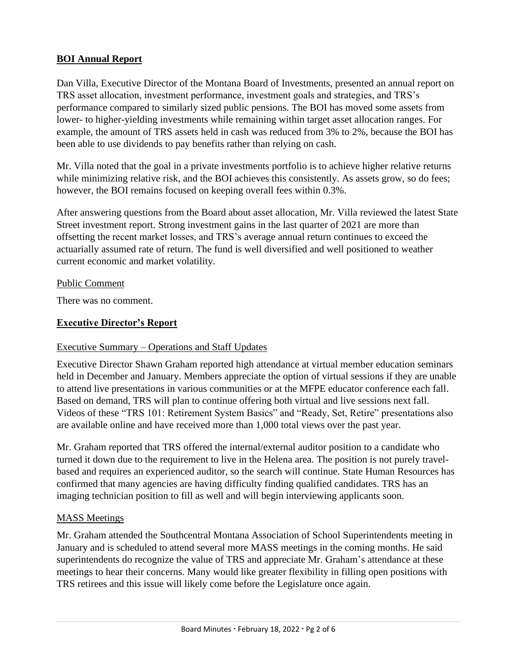### **BOI Annual Report**

Dan Villa, Executive Director of the Montana Board of Investments, presented an annual report on TRS asset allocation, investment performance, investment goals and strategies, and TRS's performance compared to similarly sized public pensions. The BOI has moved some assets from lower- to higher-yielding investments while remaining within target asset allocation ranges. For example, the amount of TRS assets held in cash was reduced from 3% to 2%, because the BOI has been able to use dividends to pay benefits rather than relying on cash.

Mr. Villa noted that the goal in a private investments portfolio is to achieve higher relative returns while minimizing relative risk, and the BOI achieves this consistently. As assets grow, so do fees; however, the BOI remains focused on keeping overall fees within 0.3%.

After answering questions from the Board about asset allocation, Mr. Villa reviewed the latest State Street investment report. Strong investment gains in the last quarter of 2021 are more than offsetting the recent market losses, and TRS's average annual return continues to exceed the actuarially assumed rate of return. The fund is well diversified and well positioned to weather current economic and market volatility.

### Public Comment

There was no comment.

## **Executive Director's Report**

## Executive Summary – Operations and Staff Updates

Executive Director Shawn Graham reported high attendance at virtual member education seminars held in December and January. Members appreciate the option of virtual sessions if they are unable to attend live presentations in various communities or at the MFPE educator conference each fall. Based on demand, TRS will plan to continue offering both virtual and live sessions next fall. Videos of these "TRS 101: Retirement System Basics" and "Ready, Set, Retire" presentations also are available online and have received more than 1,000 total views over the past year.

Mr. Graham reported that TRS offered the internal/external auditor position to a candidate who turned it down due to the requirement to live in the Helena area. The position is not purely travelbased and requires an experienced auditor, so the search will continue. State Human Resources has confirmed that many agencies are having difficulty finding qualified candidates. TRS has an imaging technician position to fill as well and will begin interviewing applicants soon.

### MASS Meetings

Mr. Graham attended the Southcentral Montana Association of School Superintendents meeting in January and is scheduled to attend several more MASS meetings in the coming months. He said superintendents do recognize the value of TRS and appreciate Mr. Graham's attendance at these meetings to hear their concerns. Many would like greater flexibility in filling open positions with TRS retirees and this issue will likely come before the Legislature once again.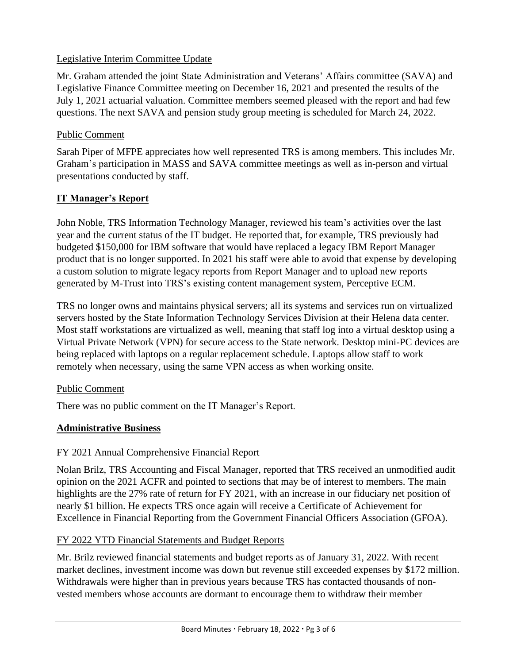### Legislative Interim Committee Update

Mr. Graham attended the joint State Administration and Veterans' Affairs committee (SAVA) and Legislative Finance Committee meeting on December 16, 2021 and presented the results of the July 1, 2021 actuarial valuation. Committee members seemed pleased with the report and had few questions. The next SAVA and pension study group meeting is scheduled for March 24, 2022.

### Public Comment

Sarah Piper of MFPE appreciates how well represented TRS is among members. This includes Mr. Graham's participation in MASS and SAVA committee meetings as well as in-person and virtual presentations conducted by staff.

## **IT Manager's Report**

John Noble, TRS Information Technology Manager, reviewed his team's activities over the last year and the current status of the IT budget. He reported that, for example, TRS previously had budgeted \$150,000 for IBM software that would have replaced a legacy IBM Report Manager product that is no longer supported. In 2021 his staff were able to avoid that expense by developing a custom solution to migrate legacy reports from Report Manager and to upload new reports generated by M-Trust into TRS's existing content management system, Perceptive ECM.

TRS no longer owns and maintains physical servers; all its systems and services run on virtualized servers hosted by the State Information Technology Services Division at their Helena data center. Most staff workstations are virtualized as well, meaning that staff log into a virtual desktop using a Virtual Private Network (VPN) for secure access to the State network. Desktop mini-PC devices are being replaced with laptops on a regular replacement schedule. Laptops allow staff to work remotely when necessary, using the same VPN access as when working onsite.

## Public Comment

There was no public comment on the IT Manager's Report.

## **Administrative Business**

## FY 2021 Annual Comprehensive Financial Report

Nolan Brilz, TRS Accounting and Fiscal Manager, reported that TRS received an unmodified audit opinion on the 2021 ACFR and pointed to sections that may be of interest to members. The main highlights are the 27% rate of return for FY 2021, with an increase in our fiduciary net position of nearly \$1 billion. He expects TRS once again will receive a Certificate of Achievement for Excellence in Financial Reporting from the Government Financial Officers Association (GFOA).

## FY 2022 YTD Financial Statements and Budget Reports

Mr. Brilz reviewed financial statements and budget reports as of January 31, 2022. With recent market declines, investment income was down but revenue still exceeded expenses by \$172 million. Withdrawals were higher than in previous years because TRS has contacted thousands of nonvested members whose accounts are dormant to encourage them to withdraw their member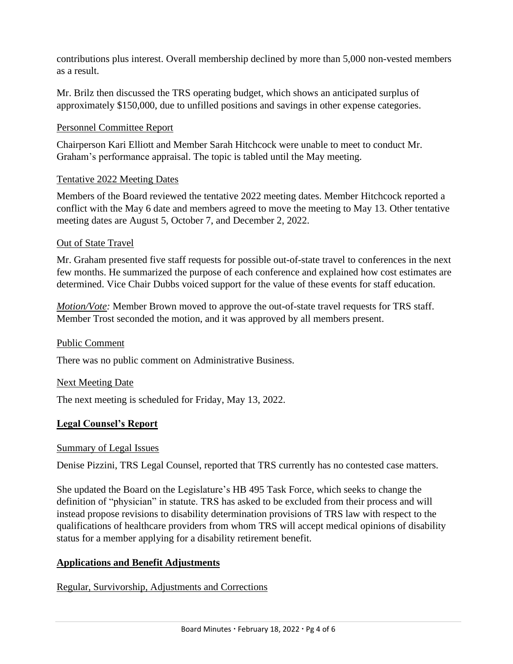contributions plus interest. Overall membership declined by more than 5,000 non-vested members as a result.

Mr. Brilz then discussed the TRS operating budget, which shows an anticipated surplus of approximately \$150,000, due to unfilled positions and savings in other expense categories.

### Personnel Committee Report

Chairperson Kari Elliott and Member Sarah Hitchcock were unable to meet to conduct Mr. Graham's performance appraisal. The topic is tabled until the May meeting.

### Tentative 2022 Meeting Dates

Members of the Board reviewed the tentative 2022 meeting dates. Member Hitchcock reported a conflict with the May 6 date and members agreed to move the meeting to May 13. Other tentative meeting dates are August 5, October 7, and December 2, 2022.

### Out of State Travel

Mr. Graham presented five staff requests for possible out-of-state travel to conferences in the next few months. He summarized the purpose of each conference and explained how cost estimates are determined. Vice Chair Dubbs voiced support for the value of these events for staff education.

*Motion/Vote:* Member Brown moved to approve the out-of-state travel requests for TRS staff. Member Trost seconded the motion, and it was approved by all members present.

### Public Comment

There was no public comment on Administrative Business.

### Next Meeting Date

The next meeting is scheduled for Friday, May 13, 2022.

### **Legal Counsel's Report**

### Summary of Legal Issues

Denise Pizzini, TRS Legal Counsel, reported that TRS currently has no contested case matters.

She updated the Board on the Legislature's HB 495 Task Force, which seeks to change the definition of "physician" in statute. TRS has asked to be excluded from their process and will instead propose revisions to disability determination provisions of TRS law with respect to the qualifications of healthcare providers from whom TRS will accept medical opinions of disability status for a member applying for a disability retirement benefit.

## **Applications and Benefit Adjustments**

### Regular, Survivorship, Adjustments and Corrections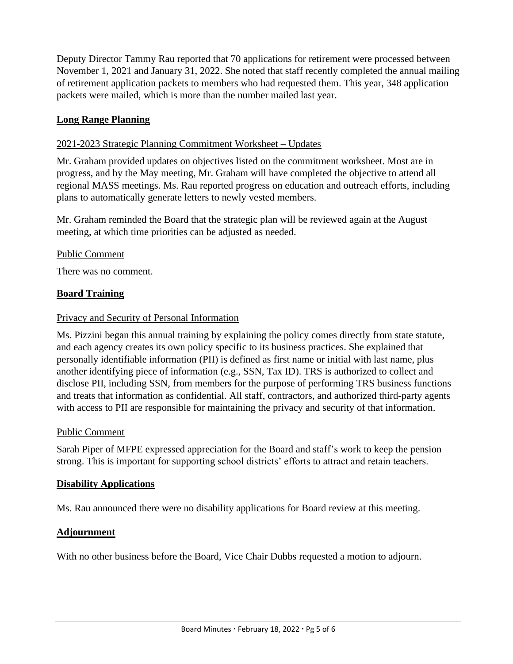Deputy Director Tammy Rau reported that 70 applications for retirement were processed between November 1, 2021 and January 31, 2022. She noted that staff recently completed the annual mailing of retirement application packets to members who had requested them. This year, 348 application packets were mailed, which is more than the number mailed last year.

### **Long Range Planning**

### 2021-2023 Strategic Planning Commitment Worksheet – Updates

Mr. Graham provided updates on objectives listed on the commitment worksheet. Most are in progress, and by the May meeting, Mr. Graham will have completed the objective to attend all regional MASS meetings. Ms. Rau reported progress on education and outreach efforts, including plans to automatically generate letters to newly vested members.

Mr. Graham reminded the Board that the strategic plan will be reviewed again at the August meeting, at which time priorities can be adjusted as needed.

#### Public Comment

There was no comment.

### **Board Training**

#### Privacy and Security of Personal Information

Ms. Pizzini began this annual training by explaining the policy comes directly from state statute, and each agency creates its own policy specific to its business practices. She explained that personally identifiable information (PII) is defined as first name or initial with last name, plus another identifying piece of information (e.g., SSN, Tax ID). TRS is authorized to collect and disclose PII, including SSN, from members for the purpose of performing TRS business functions and treats that information as confidential. All staff, contractors, and authorized third-party agents with access to PII are responsible for maintaining the privacy and security of that information.

#### Public Comment

Sarah Piper of MFPE expressed appreciation for the Board and staff's work to keep the pension strong. This is important for supporting school districts' efforts to attract and retain teachers.

### **Disability Applications**

Ms. Rau announced there were no disability applications for Board review at this meeting.

### **Adjournment**

With no other business before the Board, Vice Chair Dubbs requested a motion to adjourn.